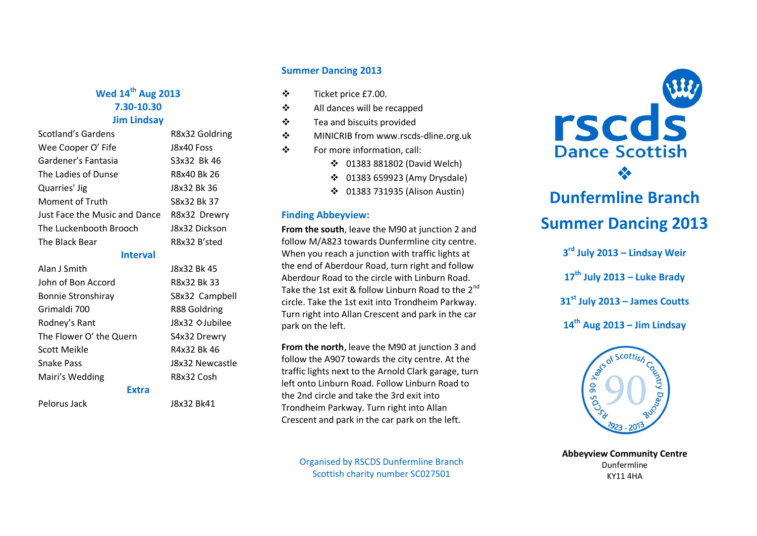### **Wed 14 th Aug 2013 7.30-10.30 Jim Lindsay**

| Scotland's Gardens            | R8x32 Goldring |
|-------------------------------|----------------|
| Wee Cooper O' Fife            | J8x40 Foss     |
| Gardener's Fantasia           | S3x32 Bk 46    |
| The Ladies of Dunse           | R8x40 Bk 26    |
| Quarries' Jig                 | J8x32 Bk 36    |
| Moment of Truth               | S8x32 Bk 37    |
| Just Face the Music and Dance | R8x32 Drewry   |
| The Luckenbooth Brooch        | J8x32 Dickson  |
| The Black Bear                | R8x32 B'sted   |
|                               |                |

### **Interval**

**J8x32 Bk 45** R8x32 Bk 33 S8x32 Campbell R88 Goldring J8x32 ◇Jubilee S4x32 Drewry R4x32 Bk 46 J8x32 Newcastle R8x32 Cosh

| 's chan                   |
|---------------------------|
| Mairi's Wedding           |
| <b>Snake Pass</b>         |
| <b>Scott Meikle</b>       |
| The Flower O' the Quern   |
| Rodney's Rant             |
| Grimaldi 700              |
| <b>Bonnie Stronshiray</b> |
| John of Bon Accord        |
| Alan J Smith              |

### **Extra**

Pelorus Jack J8x32 Bk41

### **Summer Dancing 2013**

- Ticket price £7.00.
- All dances will be recapped
- Tea and biscuits provided
- ❖ MINICRIB from www.rscds-dline.org.uk
- For more information, call:
	- 01383 881802 (David Welch)
	- 01383 659923 (Amy Drysdale)
	- 01383 731935 (Alison Austin)

### **Finding Abbeyview:**

**From the south**, leave the M90 at junction 2 and follow M/A823 towards Dunfermline city centre. When you reach a junction with traffic lights at the end of Aberdour Road, turn right and follow Aberdour Road to the circle with Linburn Road. Take the 1st exit & follow Linburn Road to the 2<sup>nd</sup> circle. Take the 1st exit into Trondheim Parkway. Turn right into Allan Crescent and park in the car park on the left.

**From the north**, leave the M90 at junction 3 and follow the A907 towards the city centre. At the traffic lights next to the Arnold Clark garage, turn left onto Linburn Road. Follow Linburn Road to the 2nd circle and take the 3rd exit into Trondheim Parkway. Turn right into Allan Crescent and park in the car park on the left.

Organised by RSCDS Dunfermline Branch Scottish charity number SC027501



## **Dunfermline Branch Summer Dancing 2013**

 **rd July 2013 – Lindsay Weir th July 2013 – Luke Brady st July 2013 – James Coutts th Aug 2013 – Jim Lindsay**



**Abbeyview Community Centre** Dunfermline KY11 4HA